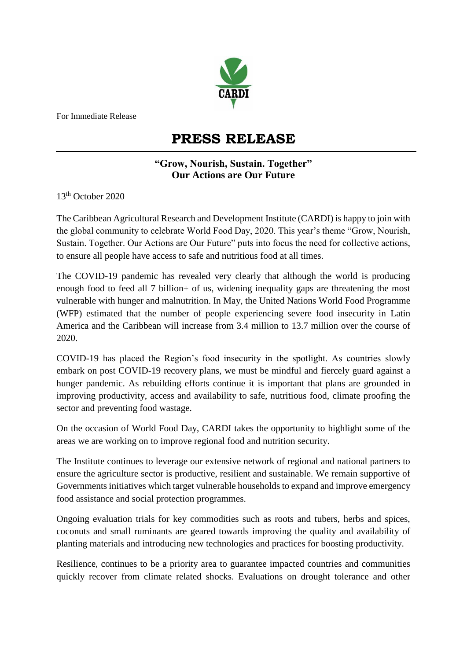

For Immediate Release

## **PRESS RELEASE**

## **"Grow, Nourish, Sustain. Together" Our Actions are Our Future**

13th October 2020

The Caribbean Agricultural Research and Development Institute (CARDI) is happy to join with the global community to celebrate World Food Day, 2020. This year's theme "Grow, Nourish, Sustain. Together. Our Actions are Our Future" puts into focus the need for collective actions, to ensure all people have access to safe and nutritious food at all times.

The COVID-19 pandemic has revealed very clearly that although the world is producing enough food to feed all 7 billion+ of us, widening inequality gaps are threatening the most vulnerable with hunger and malnutrition. In May, the United Nations World Food Programme (WFP) estimated that the number of people experiencing severe food insecurity in Latin America and the Caribbean will increase from 3.4 million to 13.7 million over the course of 2020.

COVID-19 has placed the Region's food insecurity in the spotlight. As countries slowly embark on post COVID-19 recovery plans, we must be mindful and fiercely guard against a hunger pandemic. As rebuilding efforts continue it is important that plans are grounded in improving productivity, access and availability to safe, nutritious food, climate proofing the sector and preventing food wastage.

On the occasion of World Food Day, CARDI takes the opportunity to highlight some of the areas we are working on to improve regional food and nutrition security.

The Institute continues to leverage our extensive network of regional and national partners to ensure the agriculture sector is productive, resilient and sustainable. We remain supportive of Governments initiatives which target vulnerable households to expand and improve emergency food assistance and social protection programmes.

Ongoing evaluation trials for key commodities such as roots and tubers, herbs and spices, coconuts and small ruminants are geared towards improving the quality and availability of planting materials and introducing new technologies and practices for boosting productivity.

Resilience, continues to be a priority area to guarantee impacted countries and communities quickly recover from climate related shocks. Evaluations on drought tolerance and other